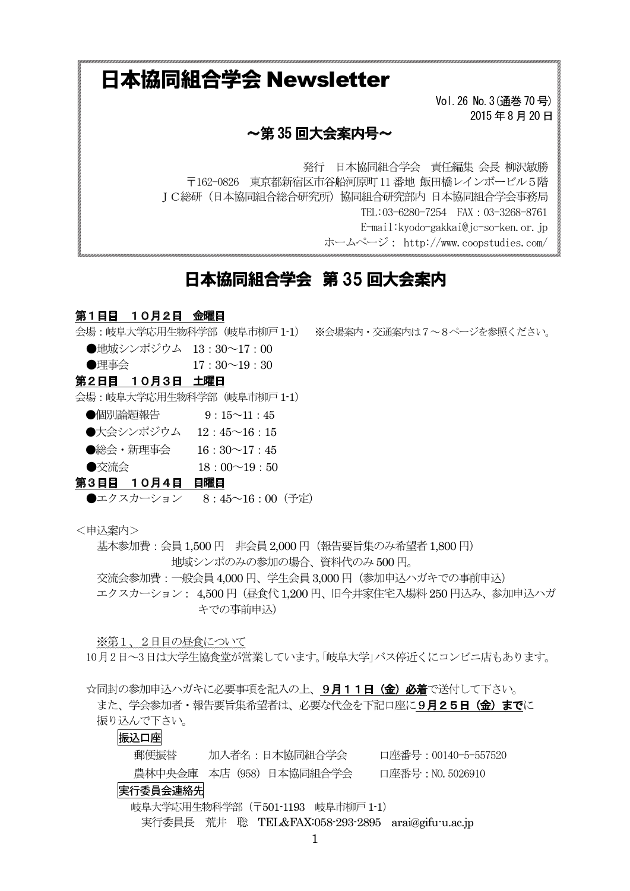# 日本協同組合学会 Newsletter

Vol. 26 No. 3 (通巻 70 号) 2015年8月20日

### $\sim$ 第 35 回大会案内号 $\sim$

発行 日本協同組合学会 責任編集 会長 柳沢敏勝 〒162-0826 東京都新宿区市谷船河原町 11 番地 飯田橋レインボービル5階 JC総研(日本協同組合総合研究所)協同組合研究部内 日本協同組合学会事務局 TEL:03-6280-7254 FAX: 03-3268-8761 E-mail:kyodo-gakkai@jc-so-ken.or.jp ホームページ: http://www.coopstudies.com/

## 日本協同組合学会 第 35 回大会案内

### 第1日目 10月2日 金曜日

- 会場:岐阜大学応用牛物科学部(岐阜市柳戸 1-1) ※会場案内・交通案内は7~8ページを参照ください。
	- ●地域シンポジウム 13:30~17:00 ●理事会  $17:30 \sim 19:30$

#### 第2日目 10月3日 土曜日

会場: 岐阜大学応用生物科学部 (岐阜市柳戸 1-1)

- ●個別論題報告 9:15∼11:45
- ●大会シンポジウム 12:45~16:15
- ●総会・新理事会 16:30~17:45

●交流会 18 : 00∼19 : 50

### 第3日目 10月4日 日曜日

●エクスカーション 8:45~16:00 (予定)

<申込案内>

基本参加費: 会員 1.500 円 非会員 2.000 円 (報告要旨集のみ希望者 1.800 円) 地域シンポのみの参加の場合、資料代のみ500円。

交流会参加費: 一般会員 4,000円、学生会員 3,000円 (参加申込ハガキでの事前申込) エクスカーション: 4,500円 (昼食代1,200円、旧今井家住宅入場料 250 円込み、参加申込ハガ キでの事前申込

※第1、2日目の昼食について

10月2日~3日は大学生協食堂が営業しています。「岐阜大学」バス停近くにコンビニ店もあります。

☆同封の参加申込ハガキに必要事項を記入の上、9月11日 (金) 必着で送付して下さい。 また、学会参加者・報告要旨集希望者は、必要な代金を下記口座に9月25日 (金)までに 振り込んで下さい。

#### 振込口座

郵便振替 加入者名:日本協同組合学会 口座番号:00140-5-557520 農林中央金庫 本店 (958) 日本協同組合学会 口座番号: NO.5026910

#### 実行委員会連絡先

**岐阜大学応用生物科学部 (〒501-1193 岐阜市柳戸1-1)** 

実行委員長 荒井 聡 TEL&FAX:058-293-2895 arai@gifu-u.ac.jp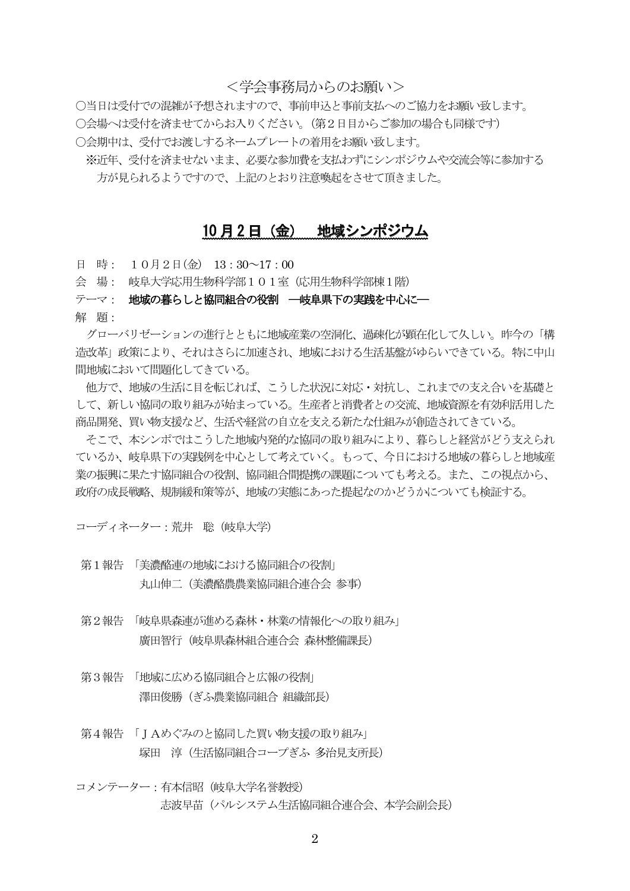<学会事務局からのお願い>

○当日は受付での混雑が予想されますので、事前申込と事前支払へのご協力をお願い致します。 ○会場へは受付を済ませてからお入りください。(第2日目からご参加の場合も同様です) ○会期中は、受付でお渡しするネームプレートの着用をお願い致します。

※近年、受付を済ませないまま、必要な参加費を支払わずにシンポジウムや交流会等に参加する 方が見られるようですので、上記のとおり注意喚起をさせて頂きました。

### 10 月2日 (金) 地域シンポジウム

日 時: 10月2日(金) 13:30~17:00

会 場: 岐阜大学応用生物科学部101室(応用生物科学部棟1階)

テーマ: 地域の暮らしと協同組合の役割 一岐阜県下の実践を中心に一

解 頴:

グローバリゼーションの進行とともに地域産業の空洞化、過疎化が顕在化して久しい。昨今の「構 造改革」政策により、それはさらに加速され、地域における生活基盤がゆらいできている。特に中山 間地域において問題化してきている。

他方で、地域の生活に目を転じれば、こうした状況に対応・対抗し、これまでの支え合いを基礎と して、新しい協同の取り組みが始まっている。生産者と消費者との交流、地域資源を有効利活用した 商品開発、買い物支援など、生活や経営の自立を支える新たな仕組みが創造されてきている。

そこで、本シンポではこうした地域内発的な協同の取り組みにより、暮らしと経営がどう支えられ ているか、岐阜県下の実践例を中心として考えていく。もって、今日における地域の暮らしと地域産 業の振興に果たす協同組合の役割、協同組合間提携の課題についても考える。また、この視点から、 政府の成長戦略、規制緩和策等が、地域の実態にあった提起なのかどうかについても検証する。

コーディネーター: 荒井 聡 (岐阜大学)

- 第1報告 「美濃酪連の地域における協同組合の役割」 丸山伸二 (美濃酪農農業協同組合連合会 参事)
- 第2報告 「岐阜県森連が進める森林・林業の情報化への取り組み」 廣田智行 (岐阜県森林組合連合会 森林整備課長)
- 第3報告 「地域に広める協同組合と広報の役割」 澤田俊勝 (ぎふ農業協同組合 組織部長)
- 第4報告 「JAめぐみのと協同した買い物支援の取り組み」 塚田 淳 (生活協同組合コープぎふ 多治見支所長)
- コメンテーター: 有本信昭 (岐阜大学名誉教授) 志波早苗 (パルシステム生活協同組合連合会、本学会副会長)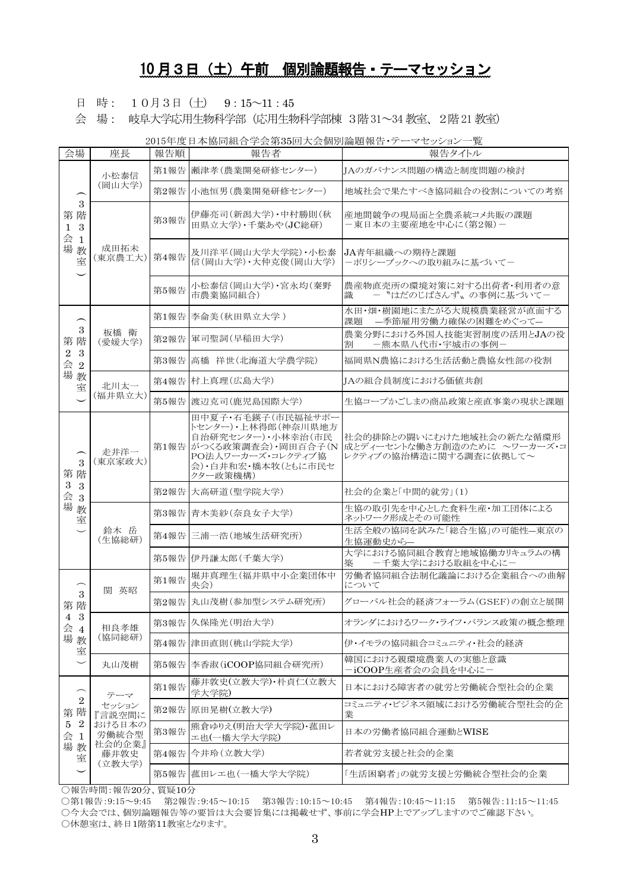### 10 月3日 (土) 午前 個別論題報告・テーマセッション

日 時: 10月3日 (土) 9:15~11:45

会 場: 岐阜大学応用生物科学部 (応用生物科学部棟 3階 31~34 教室、2階 21 教室)

2015年度日本協同組合学会第35回大会個別論題報告・テーマセッション一覧

| 会場                                                                                                       | 座長                                                                    | 報告順  | 報告者                                                                                                                                       | 報告タイトル                                                                            |
|----------------------------------------------------------------------------------------------------------|-----------------------------------------------------------------------|------|-------------------------------------------------------------------------------------------------------------------------------------------|-----------------------------------------------------------------------------------|
| 3<br>第 階<br>3<br>$\mathbf{1}$<br>会<br>$\mathbf{1}$<br>場<br>教<br>室                                        | 小松泰信<br>(岡山大学)                                                        | 第1報告 | 瀬津孝(農業開発研修センター)                                                                                                                           | JAのガバナンス問題の構造と制度問題の検討                                                             |
|                                                                                                          |                                                                       | 第2報告 | 小池恒男(農業開発研修センター)                                                                                                                          | 地域社会で果たすべき協同組合の役割についての考察                                                          |
|                                                                                                          | 成田拓未<br>(東京農工大)                                                       | 第3報告 | 伊藤亮司(新潟大学)・中村勝則(秋<br>田県立大学)·千葉あや(JC総研)                                                                                                    | 産地間競争の現局面と全農系統コメ共販の課題<br>-東日本の主要産地を中心に(第2報)-                                      |
|                                                                                                          |                                                                       | 第4報告 | 及川洋平(岡山大学大学院)·小松泰<br>信(岡山大学)·大仲克俊(岡山大学)                                                                                                   | JA青年組織への期待と課題<br>ーポリシーブックへの取り組みに基づいてー                                             |
|                                                                                                          |                                                                       | 第5報告 | 小松泰信(岡山大学)・宮永均(秦野<br>市農業協同組合)                                                                                                             | 農産物直売所の環境対策に対する出荷者・利用者の意<br>ー "はだのじばさんず、の事例に基づいてー<br>識                            |
| ⌒<br>$\boldsymbol{3}$<br>第 階<br>3<br>$\overline{2}$<br>会<br>2<br>場<br>教<br>室                             | 板橋 衛<br>(愛媛大学)                                                        | 第1報告 | 李侖美(秋田県立大学)                                                                                                                               | 水田・畑・樹園地にまたがる大規模農業経営が直面する<br>課題<br>- 季節雇用労働力確保の困難をめぐって-                           |
|                                                                                                          |                                                                       | 第2報告 | 軍司聖詞(早稲田大学)                                                                                                                               | 農業分野における外国人技能実習制度の活用とJAの役<br>ー熊本県八代市・宇城市の事例-<br>割                                 |
|                                                                                                          |                                                                       | 第3報告 | 高橋 祥世(北海道大学農学院)                                                                                                                           | 福岡県N農協における生活活動と農協女性部の役割                                                           |
|                                                                                                          | 北川太一<br>(福井県立大)                                                       | 第4報告 | 村上真理(広島大学)                                                                                                                                | JAの組合員制度における価値共創                                                                  |
|                                                                                                          |                                                                       | 第5報告 | 渡辺克司(鹿児島国際大学)                                                                                                                             | 生協コープかごしまの商品政策と産直事業の現状と課題                                                         |
| 3<br>第 階<br>$\,3$<br>3<br>会場<br>3<br>教<br>室                                                              | 走井洋一<br>(東京家政大)                                                       | 第1報告 | 田中夏子·石毛鍈子(市民福祉サポー<br>トセンター)·上林得郎(神奈川県地方<br>自治研究センター)·小林幸治(市民<br>がつくる政策調査会)·岡田百合子(N<br>PO法人ワーカーズ・コレクティブ協<br>会)・白井和宏・橋本牧(ともに市民セ<br>クター政策機構) | 社会的排除との闘いにむけた地域社会の新たな循環形<br>成とディーセントな働き方創造のために ~ワーカーズ・コ<br>レクティブの協治構造に関する調査に依拠して~ |
|                                                                                                          |                                                                       | 第2報告 | 大高研道(聖学院大学)                                                                                                                               | 社会的企業と「中間的就労」(1)                                                                  |
|                                                                                                          | 鈴木 岳<br>(生協総研)                                                        | 第3報告 | 青木美紗(奈良女子大学)                                                                                                                              | 生協の取引先を中心とした食料生産・加工団体による<br>ネットワーク形成とその可能性                                        |
|                                                                                                          |                                                                       | 第4報告 | 三浦一浩(地域生活研究所)                                                                                                                             | 生活全般の協同を試みた「総合生協」の可能性–東京の<br>生協運動史から–                                             |
|                                                                                                          |                                                                       |      | 第5報告 伊丹謙太郎 (千葉大学)                                                                                                                         | 大学における協同組合教育と地域協働カリキュラムの構<br>-千葉大学における取組を中心に-<br>築                                |
| 3<br>第 階<br>$\sqrt{3}$<br>4<br>会 4<br>場教<br>室                                                            | 関<br>英昭                                                               | 第1報告 | 堀井真理生(福井県中小企業団体中<br>央会)                                                                                                                   | 労働者協同組合法制化議論における企業組合への曲解<br>について                                                  |
|                                                                                                          |                                                                       | 第2報告 | 丸山茂樹(参加型システム研究所)                                                                                                                          | グローバル社会的経済フォーラム(GSEF)の創立と展開                                                       |
|                                                                                                          | 相良孝雄<br>(協同総研)                                                        |      | 第3報告 久保隆光(明治大学)                                                                                                                           | オランダにおけるワーク・ライフ・バランス政策の概念整理                                                       |
|                                                                                                          |                                                                       | 第4報告 | 津田直則(桃山学院大学)                                                                                                                              | 伊・イモラの協同組合コミュニティ・社会的経済                                                            |
|                                                                                                          | 丸山茂樹                                                                  | 第5報告 | 李香淑(iCOOP協同組合研究所)                                                                                                                         | 韓国における親環境農業人の実態と意識<br>ーiCOOP生産者会の会員を中心に-                                          |
| $\overline{\phantom{1}}$<br>$\,2$<br>階<br>第<br>$\overline{2}$<br>$\bf 5$<br>会場<br>$\mathbf{1}$<br>教<br>室 | テーマ<br>セッション<br>『言説空間に<br>おける日本の<br>労働統合型<br>社会的企業』<br>藤井敦史<br>(立教大学) | 第1報告 | 藤井敦史(立教大学)·朴貞仁(立教大<br>学大学院)                                                                                                               | 日本における障害者の就労と労働統合型社会的企業                                                           |
|                                                                                                          |                                                                       | 第2報告 | 原田晃樹(立教大学)                                                                                                                                | コミュニティ・ビジネス領域における労働統合型社会的企<br>業                                                   |
|                                                                                                          |                                                                       | 第3報告 | 熊倉ゆりえ(明治大学大学院)・菰田レ<br>エ也(一橋大学大学院)                                                                                                         | 日本の労働者協同組合運動とWISE                                                                 |
|                                                                                                          |                                                                       | 第4報告 | 今井玲(立教大学)                                                                                                                                 | 若者就労支援と社会的企業                                                                      |
|                                                                                                          |                                                                       | 第5報告 | 菰田レエ也 (一橋大学大学院)                                                                                                                           | 「生活困窮者」の就労支援と労働統合型社会的企業                                                           |

○報告時間:報告20分、質疑10分

○第1報告:9:15~9:45 第2報告:9:45~10:15 第3報告:10:15~10:45 第4報告:10:45~11:15 第5報告:11:15~11:45 ○今大会では、個別論題報告等の要旨は大会要旨集には掲載せず、事前に学会HP上でアップしますのでご確認下さい。 ○休憩室は、終日1階第11教室となります。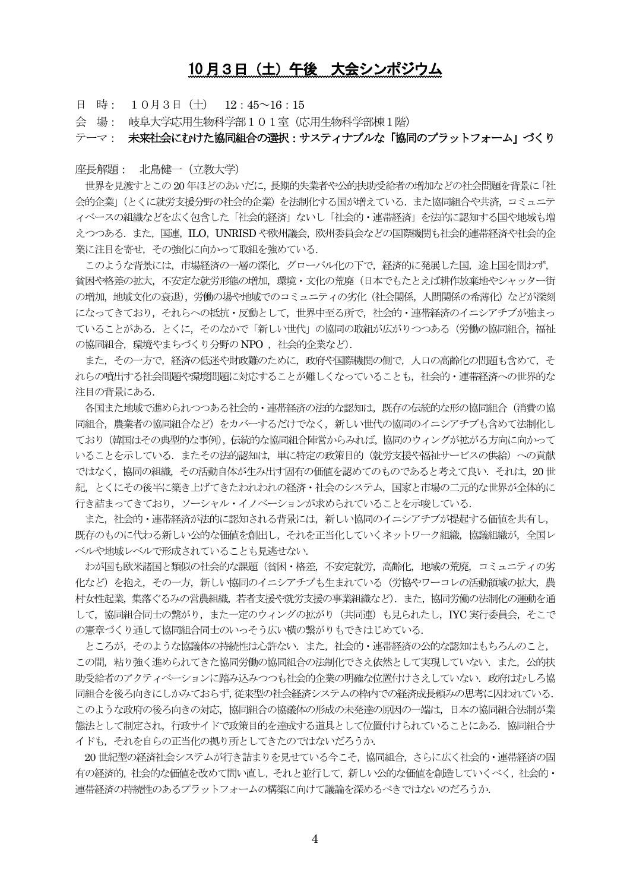### 10月3日 (土) 午後 大会シンポジウム

日 時: 10月3日 (十)  $12:45~16:15$ 

会 場: 岐阜大学応用生物科学部101室 (応用生物科学部棟1階)

テーマ : 未来社会にむけた協同組合の選択 : サスティナブルな「協同のプラットフォーム」づくり

#### 座長解題: 北島健一 (立教大学)

世界を見渡すとこの20年ほどのあいだに、長期的失業者や公的扶助受給者の増加などの社会問題を背景に「社 会的企業」(とくに就労支援分野の社会的企業)を法制化する国が増えている. また協同組合や共済, コミュニテ ィベースの組織などを広く包含した「社会的経済」ないし「社会的・連帯経済」を法的に認知する国や地域も増 えつつある. また、国連、ILO, UNRISD や欧州議会, 欧州委員会などの国際機関も社会的連帯経済や社会的企 業に注目を寄せ、その強化に向かって取組を強めている.

このような背景には、市場経済の一層の深化、グローバル化の下で、経済的に発展した国、途上国を問わず、 貧困や格差の拡大,不安定な就労形態の増加,環境・文化の荒廃(日本でもたとえば耕作放棄地やシャッター街 の増加、地域文化の衰退)、労働の場や地域でのコミュニティの劣化 (社会関係、人間関係の希薄化) などが深刻 になってきており、それらへの抵抗・反動として、世界中至る所で、社会的・連帯経済のイニシアチブが強まっ ていることがある、とくに、そのなかで「新しい世代」の協同の取組が広がりつつある(労働の協同組合、福祉 の協同組合、環境やまちづくり分野のNPO. 社会的企業など).

また、その一方で、経済の低米や財政難のために、政府や国際機関の側で、人口の高齢化の問題も含めて、そ れらの噴出する社会問題や環境問題に対応することが難しくなっていることも、社会的・連帯経済への世界的な 注目の背景にある.

各国また地域で進められつつある社会的・連帯経済の法的な認知は、既存の伝統的な形の協同組合(消費の協 同組合. 農業者の協同組合など)をカバーするだけでなく、新しい世代の協同のイニシアチブも含めて法制化し ており (韓国はその典型的な事例)、伝統的な協同組合陣営からみれば、協同のウィングが拡がる方向に向かって いることを示している。またその法的認知は、単に特定の政策目的(就労支援や福祉サービスの供給)への貢献 ではなく、協同の組織、その活動自体が生み出す固有の価値を認めてのものであると考えて良い、それは、20世 紀, とくにその後半に築き上げてきたわれわれの経済・社会のシステム、国家と市場の二元的な世界が全体的に 行き詰まってきており、ソーシャル・イノベーションが求められていることを示唆している.

また、社会的・連帯経済が法的に認知される背景には、新しい協同のイニシアチブが提起する価値を共有し、 既存のものに代わる新しい公的な価値を創出し、それを正当化していくネットワーク組織、協議組織が、全国レ ベルや地域レベルで形成されていることも見逃せない.

わが国も欧米諸国と類似の社会的な課題(貧困・格差、不安定就労、高齢化、地域の荒廃、コミュニティの劣 化など)を抱え、その一方、新しい協同のイニシアチブも生まれている(労協やワーコレの活動領域の拡大、農 村女性起業、集落ぐるみの営農組織、若者支援や就労支援の事業組織など)、また、協同労働の法制化の運動を通 して、協同組合同士の繋がり、また一定のウィングの拡がり (共同連) も見られたし、IYC 実行委員会、そこで の憲章づくり通して協同組合同士のいっそう広い横の繋がりもできはじめている.

ところが、そのような協議体の持続性は心許ない、また、社会的・連帯経済の公的な認知はもちろんのこと、 この間、粘り強く進められてきた協同労働の協同組合の法制化でさえ依然として実現していない、また、公的扶 助受給者のアクティベーションに踏み込みつつも社会的企業の明確な位置付けさえしていない.政府はむしろ協 同組合を後ろ向きにしかみておらず、従来型の社会経済システムの枠内での経済成長頼みの思考に囚われている. このような政府の後ろ向きの対応、協同組合の協議体の形成の未発達の原因の一端は、日本の協同組合法制が業 怠法として制定され、行政サイドで政策目的を達成する道具として位置付けられていることにある.協同組合サ イドも, それを自らの正当化の拠り所としてきたのではないだろうか.

20世紀型の経済社会システムが行き詰まりを見せている今こそ、協同組合、さらに広く社会的・連帯経済の固 有の経済的、社会的な価値を改めて問い直し、それと並行して、新しい公的な価値を創造していくべく、社会的・ 連帯経済の持続性のあるプラットフォームの構築に向けて議論を深めるべきではないのだろうか.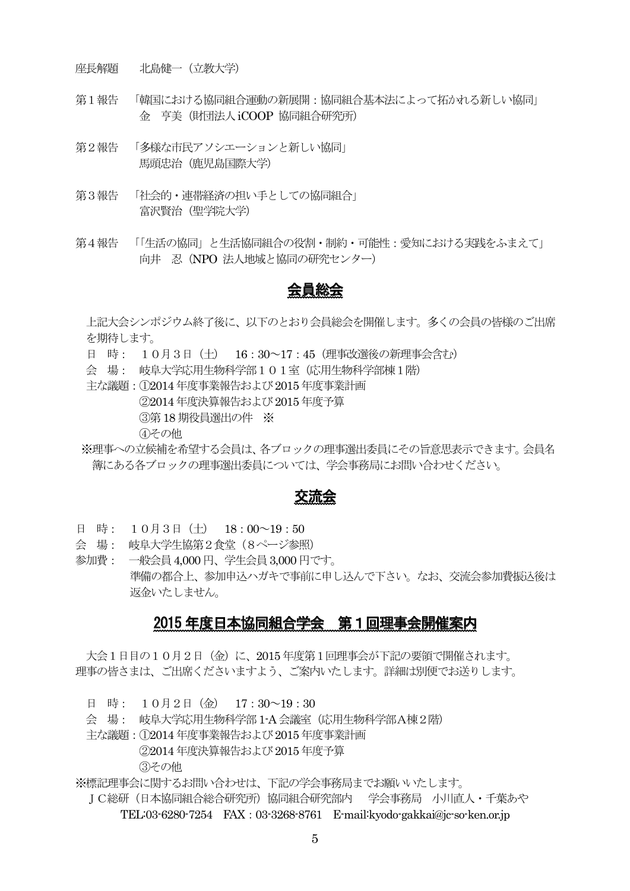座長解題 北島健一 (立教大学)

- 第1報告 「韓国における協同組合運動の新展開:協同組合基本法によって拓かれる新しい協同」 金 亨美(財団法人iCOOP 協同組合研究所)
- 第2報告 「多様な市民アソシエーションと新しい協同」 馬頭忠治 (鹿児島国際大学)
- 第3報告 「社会的·連帯経済の担い手としての協同組合」 富沢賢治(聖学院大学)
- 第4報告 「「生活の協同」と生活協同組合の役割・制約・可能性:愛知における実践をふまえて」 向井 忍 (NPO 法人地域と協同の研究センター)

### 会員総会

上記大会シンポジウム終了後に、以下のとおり会員総会を開催します。多くの会員の皆様のご出席 を期待します。

- 日 時: 10月3日 (十) 16:30~17:45 (理事改選後の新理事会含む)
- 会 場: 岐阜大学応用生物科学部101室(応用生物科学部棟1階)
- 主な議題: ①2014年度事業報告および 2015年度事業計画
	- ②2014年度決算報告および 2015年度予算

3第18 期役員選出の件 ※

4その他

※理事への立候補を希望する会員は、各ブロックの理事選出委員にその旨意思表示できます。会員名 簿にある各ブロックの理事選出委員については、学会事務局にお問い合わせください。

### 交流会

- 日 時: 10月3日 (十)  $18:00~19:50$
- 会 場: 岐阜大学生協第2食堂 (8ページ参照)
- 参加費: 一般会員 4,000円、学生会員 3,000円です。 準備の都合上、参加申込ハガキで事前に申し込んで下さい。なお、交流会参加費振込後は 返金いたしません。

### 2015 年度日本協同組合学会 第1回理事会開催案内

大会1日目の10月2日 (金) に、2015年度第1回理事会が下記の要領で開催されます。 理事の皆さまは、ご出席くださいますよう、ご案内いたします。詳細は別便でお送りします。

日 時: 10月2日 (金) 17:30~19:30

会 場: 岐阜大学応用生物科学部 1-A 会議室 (応用生物科学部 A棟2階)

主な議題: ①2014年度事業報告および 2015年度事業計画

②2014年度決算報告および 2015年度予算

(3)その他

※標記理事会に関するお問い合わせは、下記の学会事務局までお願いいたします。

Ⅰ C総研(日本協同組合総合研究所)協同組合研究部内 → 学会事務局 → 小川直人・千葉あや TEL:03-6280-7254 FAX: 03-3268-8761 E-mail:kyodo-gakkai@jc-so-ken.or.jp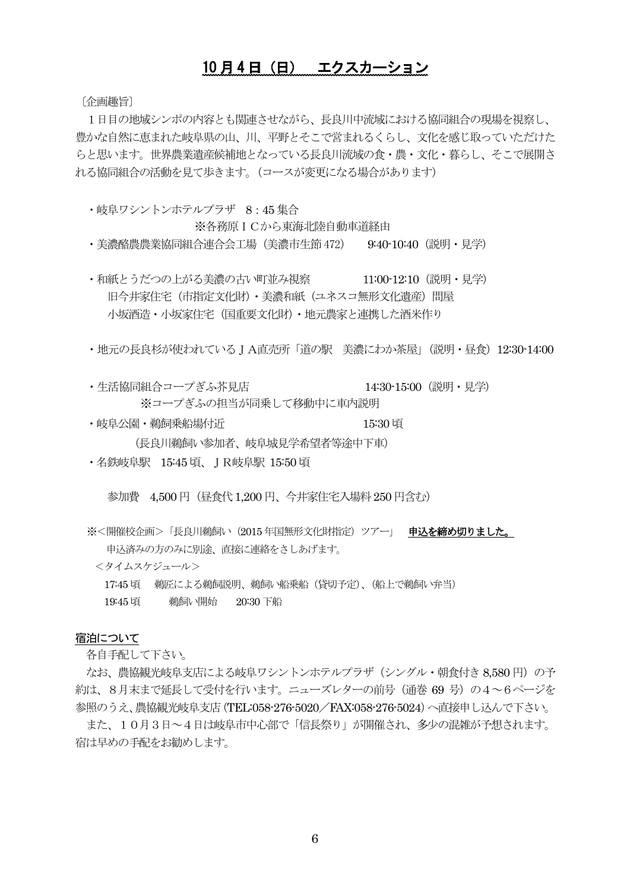### 10 月4日 (日) エクスカーション

[企画趣旨]

1日目の地域シンポの内容とも関連させながら、長良川中流域における協同組合の現場を視察し、 豊かな自然に恵まれた岐阜県の山、川、平野とそこで営まれるくらし、文化を感じ取っていただけた らと思います。世界農業遺産候補地となっている長良川流域の食・農・文化・暮らし、そこで展開さ れる協同組合の活動を見て歩きます。(コースが変更になる場合があります)

•岐阜ワシントンホテルプラザ 8:45集合

※各務原 I Cから東海北陸自動車道経由

・美濃酪農農業協同組合連合会工場(美濃市生節 472) - 9:40·10:40(説明・見学)

・和紙とうだつの上がる美濃の古い町並み視察 11:00-12:10(説明・見学) 旧今井家住字 (市指定文化財) · 美濃和紙 (ユネスコ無形文化潰産) 問屋 小坂酒诰・小坂家住宅(国重要文化財)・地元農家と連携した酒米作り

・地元の長良杉が使われているJA直売所「道の駅 美濃にわか茶屋」(説明・昼食) 12:30-14:00

- ・生活協同組合コープぎふ芥見店 ねっちゃん りゅう 14:30-15:00 (説明・見学) ※コープぎふの担当が同乗して移動中に車内説明
- ・岐阜公園・鵜飼乗船場付近 - - - - - - - - 15:30 頃

(長良川鵜飼い参加者、岐阜城見学希望者等途中下車)

• 名鉄岐阜駅 15:45 頃、JR岐阜駅 15:50 頃

参加費 4.500円 (昼食代1.200円、今井家住宅入場料 250 円含む)

※<開催校企画>「長良川鵜飼い(2015年国無形文化財指定)ツアー」 申**込を締め切りました。** 申込済みの方のみに別途、直接に連絡をさしあげます。

#### <タイムスケジュール>

- 17:45 頃 鵜匠による鵜飼説明、鵜飼い船乗船 (貸切予定)、(船上で鵜飼い弁当)
- 19:45 頃 鵜飼い開始 20:30 下船

#### 宿泊について

各自手配して下さい。

なお、農協観光岐阜支店による岐阜ワシントンホテルプラザ (シングル・朝食付き8,580円) の予 約は、8月末まで延長して受付を行います。ニューズレターの前号 (通巻 69 号) の4~6ページを 参照のうえ、農協観光岐阜支店 (TEL:058-276-5020/FAX:058-276-5024) へ直接申し込んで下さい。

また、10月3日~4日は岐阜市中心部で「信長祭り」が開催され、多少の混雑が予想されます。 宿は早めの手配をお勧めします。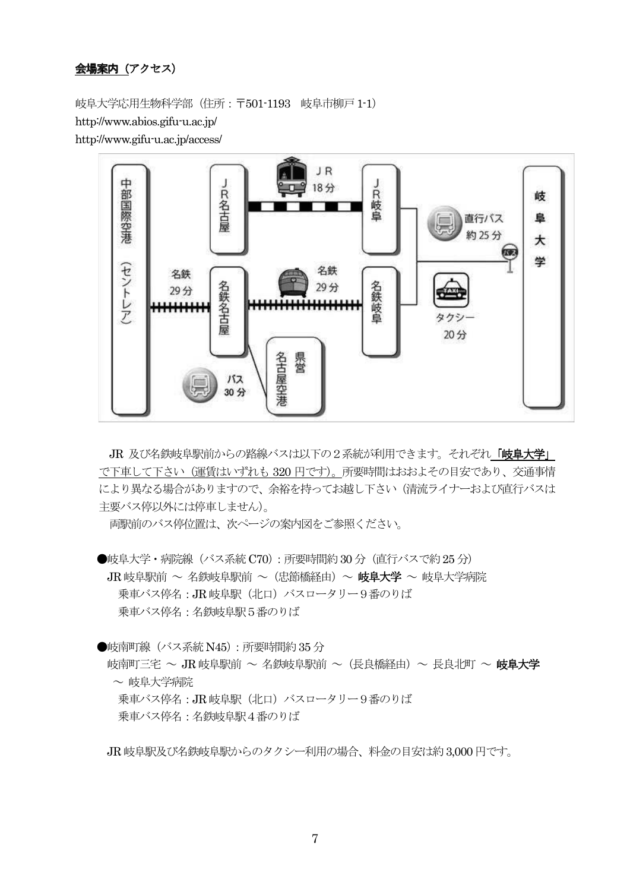#### 会場案内 (アクセス)

**岐阜大学応用生物科学部(住所:〒501-1193 岐阜市柳戸1-1**) http://www.abios.gifu-u.ac.jp/ http://www.gifu-u.ac.jp/access/



JR 及び名鉄岐阜駅前からの路線バスは以下の2系統が利用できます。 それぞれ「岐阜大学」 で下車して下さい (運賃はいずれも 320 円です)。所要時間はおおよその目安であり、交通事情 により異なる場合がありますので、余裕を持ってお越し下さい(清流ライナーおよび直行バスは 主要バス停以外には停車しません)。

両駅前のバス停位置は、次ページの案内図をご参照ください。

●岐阜大学・病院線(バス系統 C70):所要時間約 30 分(直行バスで約 25 分) JR 岐阜駅前 ~ 名鉄岐阜駅前 ~ (忠節橋経由) ~ 岐阜大学 ~ 岐阜大学病院 乗車バス停名: JR 岐阜駅 (北口) バスロータリー9番のりば 乗車バス停名: 名鉄岐阜駅5番のりば

●岐南町線 (バス系統 N45): 所要時間約35分

岐南町三宅 ~ JR 岐阜駅前 ~ 名鉄岐阜駅前 ~(長良橋経由)~ 長良北町 ~ **岐阜大学** ~ 岐阜大学病院 乗車バス停名: JR 岐阜駅 (北口) バスロータリー9番のりば

乗車バス停名:名鉄岐阜駅4番のりば

JR 岐阜駅及び名鉄岐阜駅からのタクシー利用の場合、料金の目安は約 3,000円です。